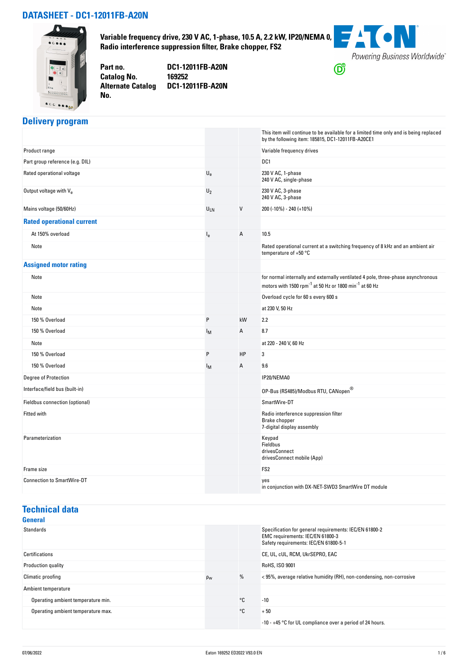#### **DATASHEET - DC1-12011FB-A20N**



**Variable frequency drive, 230 V AC, 1-phase, 10.5 A, 2.2 kW, IP20/NEMA 0, Radio interference suppression filter, Brake chopper, FS2**



**Catalog No. Alternate Catalog No.** 

**Part no. DC1-12011FB-A20N DC1-12011FB-A20N**

# **Delivery program**

|                                   |                           |    | This item will continue to be available for a limited time only and is being replaced<br>by the following item: 185815, DC1-12011FB-A20CE1                         |
|-----------------------------------|---------------------------|----|--------------------------------------------------------------------------------------------------------------------------------------------------------------------|
| Product range                     |                           |    | Variable frequency drives                                                                                                                                          |
| Part group reference (e.g. DIL)   |                           |    | DC1                                                                                                                                                                |
| Rated operational voltage         | $\mathsf{U}_{\mathsf{e}}$ |    | 230 V AC, 1-phase<br>240 V AC, single-phase                                                                                                                        |
| Output voltage with Ve            | $U_2$                     |    | 230 V AC, 3-phase<br>240 V AC, 3-phase                                                                                                                             |
| Mains voltage (50/60Hz)           | $U_{LN}$                  | V  | 200 (-10%) - 240 (+10%)                                                                                                                                            |
| <b>Rated operational current</b>  |                           |    |                                                                                                                                                                    |
| At 150% overload                  | $I_{e}$                   | А  | 10.5                                                                                                                                                               |
| Note                              |                           |    | Rated operational current at a switching frequency of 8 kHz and an ambient air<br>temperature of $+50$ °C                                                          |
| <b>Assigned motor rating</b>      |                           |    |                                                                                                                                                                    |
| Note                              |                           |    | for normal internally and externally ventilated 4 pole, three-phase asynchronous<br>motors with 1500 rpm <sup>-1</sup> at 50 Hz or 1800 min <sup>-1</sup> at 60 Hz |
| Note                              |                           |    | Overload cycle for 60 s every 600 s                                                                                                                                |
| Note                              |                           |    | at 230 V, 50 Hz                                                                                                                                                    |
| 150 % Overload                    | P                         | kW | 2.2                                                                                                                                                                |
| 150 % Overload                    | Iм                        | А  | 8.7                                                                                                                                                                |
| Note                              |                           |    | at 220 - 240 V, 60 Hz                                                                                                                                              |
| 150 % Overload                    | P                         | HP | 3                                                                                                                                                                  |
| 150 % Overload                    | Iм                        | А  | 9.6                                                                                                                                                                |
| <b>Degree of Protection</b>       |                           |    | IP20/NEMA0                                                                                                                                                         |
| Interface/field bus (built-in)    |                           |    | 0P-Bus (RS485)/Modbus RTU, CANopen®                                                                                                                                |
| Fieldbus connection (optional)    |                           |    | SmartWire-DT                                                                                                                                                       |
| <b>Fitted with</b>                |                           |    | Radio interference suppression filter<br>Brake chopper<br>7-digital display assembly                                                                               |
| Parameterization                  |                           |    | Keypad<br>Fieldbus<br>drivesConnect<br>drivesConnect mobile (App)                                                                                                  |
| Frame size                        |                           |    | FS <sub>2</sub>                                                                                                                                                    |
| <b>Connection to SmartWire-DT</b> |                           |    | yes<br>in conjunction with DX-NET-SWD3 SmartWire DT module                                                                                                         |

## **Technical data**

| General                            |          |              |                                                                                                                                     |
|------------------------------------|----------|--------------|-------------------------------------------------------------------------------------------------------------------------------------|
| Standards                          |          |              | Specification for general requirements: IEC/EN 61800-2<br>EMC requirements: IEC/EN 61800-3<br>Safety requirements: IEC/EN 61800-5-1 |
| Certifications                     |          |              | CE, UL, cUL, RCM, UkrSEPRO, EAC                                                                                                     |
| Production quality                 |          |              | RoHS, ISO 9001                                                                                                                      |
| Climatic proofing                  | $\rho_w$ | %            | <95%, average relative humidity (RH), non-condensing, non-corrosive                                                                 |
| Ambient temperature                |          |              |                                                                                                                                     |
| Operating ambient temperature min. |          | $^{\circ}$ C | $-10$                                                                                                                               |
| Operating ambient temperature max. |          | °C           | $+50$                                                                                                                               |
|                                    |          |              | $-10 - +45$ °C for UL compliance over a period of 24 hours.                                                                         |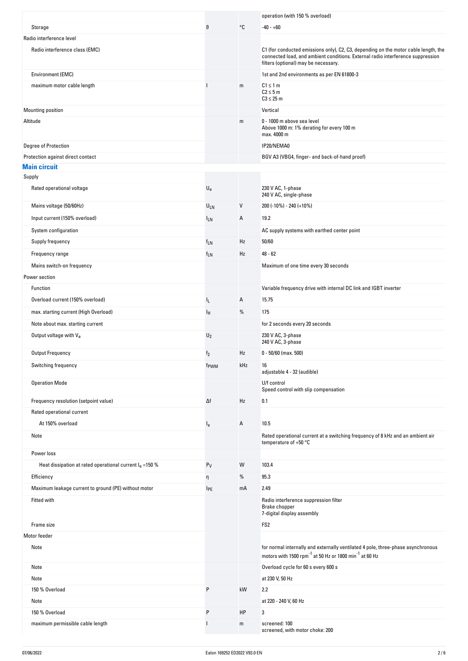|                                                           |                           |      | operation (with 150 % overload)                                                                                                                                                                                |
|-----------------------------------------------------------|---------------------------|------|----------------------------------------------------------------------------------------------------------------------------------------------------------------------------------------------------------------|
| Storage                                                   | θ                         | °C   | $-40 - +60$                                                                                                                                                                                                    |
| Radio interference level                                  |                           |      |                                                                                                                                                                                                                |
| Radio interference class (EMC)                            |                           |      | C1 (for conducted emissions only), C2, C3, depending on the motor cable length, the<br>connected load, and ambient conditions. External radio interference suppression<br>filters (optional) may be necessary. |
| Environment (EMC)                                         |                           |      | 1st and 2nd environments as per EN 61800-3                                                                                                                                                                     |
| maximum motor cable length                                |                           | m    | $C1 \leq 1$ m<br>$C2 \leq 5m$<br>$C3 \leq 25$ m                                                                                                                                                                |
| Mounting position                                         |                           |      | Vertical                                                                                                                                                                                                       |
| Altitude                                                  |                           | m    | 0 - 1000 m above sea level<br>Above 1000 m: 1% derating for every 100 m<br>max. 4000 m                                                                                                                         |
| Degree of Protection                                      |                           |      | IP20/NEMA0                                                                                                                                                                                                     |
| Protection against direct contact                         |                           |      | BGV A3 (VBG4, finger- and back-of-hand proof)                                                                                                                                                                  |
| <b>Main circuit</b>                                       |                           |      |                                                                                                                                                                                                                |
| Supply                                                    |                           |      |                                                                                                                                                                                                                |
| Rated operational voltage                                 | $\mathsf{U}_{\mathsf{e}}$ |      | 230 V AC, 1-phase<br>240 V AC, single-phase                                                                                                                                                                    |
| Mains voltage (50/60Hz)                                   | ULN                       | V    | 200 (-10%) - 240 (+10%)                                                                                                                                                                                        |
| Input current (150% overload)                             | <sup>I</sup> LN           | Α    | 19.2                                                                                                                                                                                                           |
| System configuration                                      |                           |      | AC supply systems with earthed center point                                                                                                                                                                    |
| Supply frequency                                          | $f_{LN}$                  | Hz   | 50/60                                                                                                                                                                                                          |
| Frequency range                                           | $f_{LN}$                  | Hz   | $48 - 62$                                                                                                                                                                                                      |
| Mains switch-on frequency                                 |                           |      | Maximum of one time every 30 seconds                                                                                                                                                                           |
| Power section                                             |                           |      |                                                                                                                                                                                                                |
| Function                                                  |                           |      | Variable frequency drive with internal DC link and IGBT inverter                                                                                                                                               |
| Overload current (150% overload)                          | IL.                       | Α    | 15.75                                                                                                                                                                                                          |
| max. starting current (High Overload)                     | ΙH.                       | $\%$ | 175                                                                                                                                                                                                            |
| Note about max. starting current                          |                           |      | for 2 seconds every 20 seconds                                                                                                                                                                                 |
|                                                           |                           |      | 230 V AC, 3-phase                                                                                                                                                                                              |
|                                                           |                           |      |                                                                                                                                                                                                                |
| Output voltage with Ve                                    | $U_2$                     |      | 240 V AC, 3-phase                                                                                                                                                                                              |
| Output Frequency                                          | f <sub>2</sub>            | Hz   | $0 - 50/60$ (max. 500)                                                                                                                                                                                         |
| Switching frequency                                       | f <sub>PWM</sub>          | kHz  | 16<br>adjustable 4 - 32 (audible)                                                                                                                                                                              |
| <b>Operation Mode</b>                                     |                           |      | U/f control<br>Speed control with slip compensation                                                                                                                                                            |
| Frequency resolution (setpoint value)                     | Δf                        | Hz   | 0.1                                                                                                                                                                                                            |
| Rated operational current                                 |                           |      |                                                                                                                                                                                                                |
| At 150% overload                                          | $I_{e}$                   | А    | 10.5                                                                                                                                                                                                           |
| Note<br>Power loss                                        |                           |      | Rated operational current at a switching frequency of 8 kHz and an ambient air<br>temperature of $+50$ °C                                                                                                      |
| Heat dissipation at rated operational current $Ie$ =150 % | $P_V$                     | W    | 103.4                                                                                                                                                                                                          |
| Efficiency                                                | η                         | %    | 95.3                                                                                                                                                                                                           |
| Maximum leakage current to ground (PE) without motor      | <b>IPE</b>                | mA   | 2.49                                                                                                                                                                                                           |
| Fitted with                                               |                           |      | Radio interference suppression filter<br>Brake chopper<br>7-digital display assembly                                                                                                                           |
| Frame size                                                |                           |      | FS <sub>2</sub>                                                                                                                                                                                                |
| Motor feeder                                              |                           |      |                                                                                                                                                                                                                |
| Note                                                      |                           |      | for normal internally and externally ventilated 4 pole, three-phase asynchronous<br>motors with 1500 rpm <sup>-1</sup> at 50 Hz or 1800 min <sup>-1</sup> at 60 Hz                                             |
| Note                                                      |                           |      | Overload cycle for 60 s every 600 s                                                                                                                                                                            |
| Note                                                      |                           |      | at 230 V, 50 Hz                                                                                                                                                                                                |
| 150 % Overload                                            | P                         | kW   | 2.2                                                                                                                                                                                                            |
| Note                                                      |                           |      | at 220 - 240 V, 60 Hz                                                                                                                                                                                          |
| 150 % Overload<br>maximum permissible cable length        | P                         | HP   | 3                                                                                                                                                                                                              |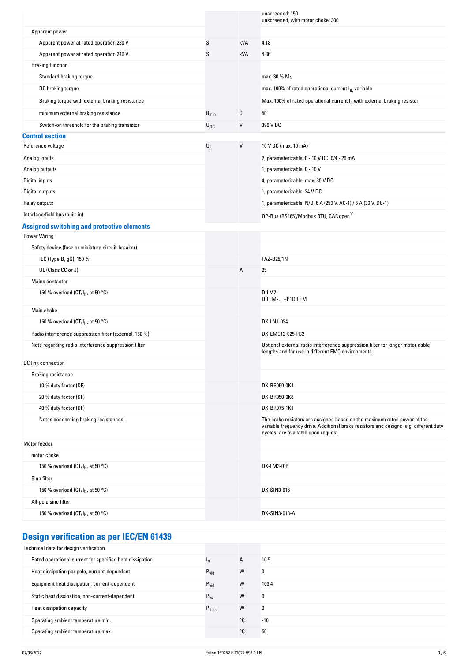|                                                                          |             |     | unscreened: 150<br>unscreened, with motor choke: 300                                                                                                                                                     |
|--------------------------------------------------------------------------|-------------|-----|----------------------------------------------------------------------------------------------------------------------------------------------------------------------------------------------------------|
| Apparent power                                                           |             |     |                                                                                                                                                                                                          |
| Apparent power at rated operation 230 V                                  | S           | kVA | 4.18                                                                                                                                                                                                     |
| Apparent power at rated operation 240 V                                  | S           | kVA | 4.36                                                                                                                                                                                                     |
| <b>Braking function</b>                                                  |             |     |                                                                                                                                                                                                          |
| Standard braking torque                                                  |             |     | max. 30 % $M_N$                                                                                                                                                                                          |
| DC braking torque                                                        |             |     | max. 100% of rated operational current le, variable                                                                                                                                                      |
| Braking torque with external braking resistance                          |             |     | Max. 100% of rated operational current le with external braking resistor                                                                                                                                 |
| minimum external braking resistance                                      | $R_{min}$   | Ω   | 50                                                                                                                                                                                                       |
| Switch-on threshold for the braking transistor                           | $U_{DC}$    | V   | 390 V DC                                                                                                                                                                                                 |
| <b>Control section</b>                                                   |             |     |                                                                                                                                                                                                          |
| Reference voltage                                                        | $U_{\rm S}$ | V   | 10 V DC (max. 10 mA)                                                                                                                                                                                     |
| Analog inputs                                                            |             |     | 2, parameterizable, 0 - 10 V DC, 0/4 - 20 mA                                                                                                                                                             |
| Analog outputs                                                           |             |     | 1, parameterizable, 0 - 10 V                                                                                                                                                                             |
| Digital inputs                                                           |             |     | 4, parameterizable, max. 30 V DC                                                                                                                                                                         |
| Digital outputs                                                          |             |     | 1, parameterizable, 24 V DC                                                                                                                                                                              |
| Relay outputs                                                            |             |     | 1, parameterizable, N/O, 6 A (250 V, AC-1) / 5 A (30 V, DC-1)                                                                                                                                            |
| Interface/field bus (built-in)                                           |             |     | 0P-Bus (RS485)/Modbus RTU, CANopen®                                                                                                                                                                      |
| <b>Assigned switching and protective elements</b>                        |             |     |                                                                                                                                                                                                          |
| <b>Power Wiring</b><br>Safety device (fuse or miniature circuit-breaker) |             |     |                                                                                                                                                                                                          |
| IEC (Type B, gG), 150 %                                                  |             |     | <b>FAZ-B25/1N</b>                                                                                                                                                                                        |
| UL (Class CC or J)                                                       |             | Α   | 25                                                                                                                                                                                                       |
| Mains contactor                                                          |             |     |                                                                                                                                                                                                          |
| 150 % overload (CT/I <sub>H</sub> , at 50 °C)                            |             |     | DILM7                                                                                                                                                                                                    |
|                                                                          |             |     | DILEM-+P1DILEM                                                                                                                                                                                           |
| Main choke                                                               |             |     |                                                                                                                                                                                                          |
| 150 % overload (CT/I <sub>H</sub> , at 50 °C)                            |             |     | DX-LN1-024                                                                                                                                                                                               |
| Radio interference suppression filter (external, 150 %)                  |             |     | DX-EMC12-025-FS2                                                                                                                                                                                         |
| Note regarding radio interference suppression filter                     |             |     | Optional external radio interference suppression filter for longer motor cable<br>lengths and for use in different EMC environments                                                                      |
| DC link connection                                                       |             |     |                                                                                                                                                                                                          |
| <b>Braking resistance</b>                                                |             |     |                                                                                                                                                                                                          |
| 10 % duty factor (DF)                                                    |             |     | DX-BR050-0K4                                                                                                                                                                                             |
| 20 % duty factor (DF)                                                    |             |     | DX-BR050-0K8                                                                                                                                                                                             |
| 40 % duty factor (DF)                                                    |             |     | DX-BR075-1K1                                                                                                                                                                                             |
| Notes concerning braking resistances:                                    |             |     | The brake resistors are assigned based on the maximum rated power of the<br>variable frequency drive. Additional brake resistors and designs (e.g. different duty<br>cycles) are available upon request. |
| Motor feeder                                                             |             |     |                                                                                                                                                                                                          |
| motor choke                                                              |             |     |                                                                                                                                                                                                          |
| 150 % overload (CT/I <sub>H</sub> , at 50 °C)                            |             |     | DX-LM3-016                                                                                                                                                                                               |
| Sine filter                                                              |             |     |                                                                                                                                                                                                          |
| 150 % overload (CT/I <sub>H</sub> , at 50 °C)                            |             |     | DX-SIN3-016                                                                                                                                                                                              |
| All-pole sine filter                                                     |             |     |                                                                                                                                                                                                          |
| 150 % overload (CT/I <sub>H</sub> , at 50 °C)                            |             |     | DX-SIN3-013-A                                                                                                                                                                                            |
|                                                                          |             |     |                                                                                                                                                                                                          |

# **Design verification as per IEC/EN 61439**

| Technical data for design verification                   |                   |              |       |
|----------------------------------------------------------|-------------------|--------------|-------|
| Rated operational current for specified heat dissipation | 'n                | $\mathsf{A}$ | 10.5  |
| Heat dissipation per pole, current-dependent             | $P_{\text{vid}}$  | W            | 0     |
| Equipment heat dissipation, current-dependent            | $P_{\text{vid}}$  | W            | 103.4 |
| Static heat dissipation, non-current-dependent           | $P_{VS}$          | W            | 0     |
| Heat dissipation capacity                                | $P_{\text{diss}}$ | W            | 0     |
| Operating ambient temperature min.                       |                   | °C           | $-10$ |
| Operating ambient temperature max.                       |                   | ∘c           | 50    |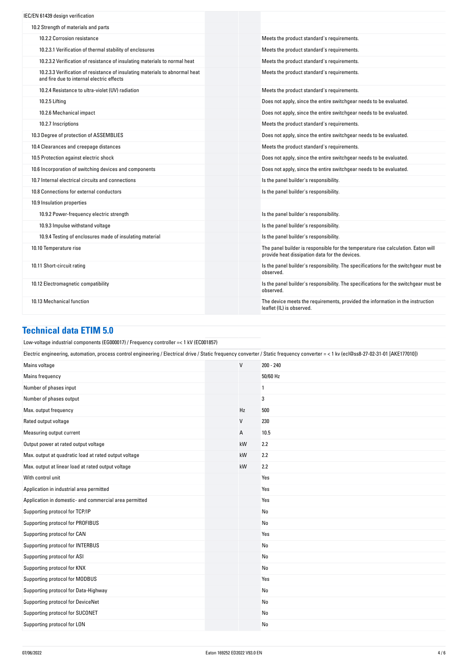| IEC/EN 61439 design verification                                                                                          |                                                                                                                                     |
|---------------------------------------------------------------------------------------------------------------------------|-------------------------------------------------------------------------------------------------------------------------------------|
| 10.2 Strength of materials and parts                                                                                      |                                                                                                                                     |
| 10.2.2 Corrosion resistance                                                                                               | Meets the product standard's requirements.                                                                                          |
| 10.2.3.1 Verification of thermal stability of enclosures                                                                  | Meets the product standard's requirements.                                                                                          |
| 10.2.3.2 Verification of resistance of insulating materials to normal heat                                                | Meets the product standard's requirements.                                                                                          |
| 10.2.3.3 Verification of resistance of insulating materials to abnormal heat<br>and fire due to internal electric effects | Meets the product standard's requirements.                                                                                          |
| 10.2.4 Resistance to ultra-violet (UV) radiation                                                                          | Meets the product standard's requirements.                                                                                          |
| 10.2.5 Lifting                                                                                                            | Does not apply, since the entire switchgear needs to be evaluated.                                                                  |
| 10.2.6 Mechanical impact                                                                                                  | Does not apply, since the entire switchgear needs to be evaluated.                                                                  |
| 10.2.7 Inscriptions                                                                                                       | Meets the product standard's requirements.                                                                                          |
| 10.3 Degree of protection of ASSEMBLIES                                                                                   | Does not apply, since the entire switchgear needs to be evaluated.                                                                  |
| 10.4 Clearances and creepage distances                                                                                    | Meets the product standard's requirements.                                                                                          |
| 10.5 Protection against electric shock                                                                                    | Does not apply, since the entire switchgear needs to be evaluated.                                                                  |
| 10.6 Incorporation of switching devices and components                                                                    | Does not apply, since the entire switchgear needs to be evaluated.                                                                  |
| 10.7 Internal electrical circuits and connections                                                                         | Is the panel builder's responsibility.                                                                                              |
| 10.8 Connections for external conductors                                                                                  | Is the panel builder's responsibility.                                                                                              |
| 10.9 Insulation properties                                                                                                |                                                                                                                                     |
| 10.9.2 Power-frequency electric strength                                                                                  | Is the panel builder's responsibility.                                                                                              |
| 10.9.3 Impulse withstand voltage                                                                                          | Is the panel builder's responsibility.                                                                                              |
| 10.9.4 Testing of enclosures made of insulating material                                                                  | Is the panel builder's responsibility.                                                                                              |
| 10.10 Temperature rise                                                                                                    | The panel builder is responsible for the temperature rise calculation. Eaton will<br>provide heat dissipation data for the devices. |
| 10.11 Short-circuit rating                                                                                                | Is the panel builder's responsibility. The specifications for the switchgear must be<br>observed.                                   |
| 10.12 Electromagnetic compatibility                                                                                       | Is the panel builder's responsibility. The specifications for the switchgear must be<br>observed.                                   |
| 10.13 Mechanical function                                                                                                 | The device meets the requirements, provided the information in the instruction<br>leaflet (IL) is observed.                         |

### **Technical data ETIM 5.0**

| Low-voltage industrial components (EG000017) / Frequency controller = < 1 kV (EC001857)                                                                                               |              |                |  |  |
|---------------------------------------------------------------------------------------------------------------------------------------------------------------------------------------|--------------|----------------|--|--|
| Electric engineering, automation, process control engineering / Electrical drive / Static frequency converter / Static frequency converter = < 1 kv (ecl@ss8-27-02-31-01 [AKE177010]) |              |                |  |  |
| Mains voltage                                                                                                                                                                         | $\mathsf{V}$ | $200 - 240$    |  |  |
| Mains frequency                                                                                                                                                                       |              | 50/60 Hz       |  |  |
| Number of phases input                                                                                                                                                                |              | 1              |  |  |
| Number of phases output                                                                                                                                                               |              | 3              |  |  |
| Max. output frequency                                                                                                                                                                 | Hz           | 500            |  |  |
| Rated output voltage                                                                                                                                                                  | $\mathsf{V}$ | 230            |  |  |
| Measuring output current                                                                                                                                                              | A            | 10.5           |  |  |
| Output power at rated output voltage                                                                                                                                                  | kW           | 2.2            |  |  |
| Max. output at quadratic load at rated output voltage                                                                                                                                 | kW           | 2.2            |  |  |
| Max. output at linear load at rated output voltage                                                                                                                                    | kW           | 2.2            |  |  |
| With control unit                                                                                                                                                                     |              | Yes            |  |  |
| Application in industrial area permitted                                                                                                                                              |              | Yes            |  |  |
| Application in domestic- and commercial area permitted                                                                                                                                |              | Yes            |  |  |
| Supporting protocol for TCP/IP                                                                                                                                                        |              | N <sub>0</sub> |  |  |
| Supporting protocol for PROFIBUS                                                                                                                                                      |              | No             |  |  |
| Supporting protocol for CAN                                                                                                                                                           |              | Yes            |  |  |
| Supporting protocol for INTERBUS                                                                                                                                                      |              | No             |  |  |
| Supporting protocol for ASI                                                                                                                                                           |              | <b>No</b>      |  |  |
| Supporting protocol for KNX                                                                                                                                                           |              | No             |  |  |
| Supporting protocol for MODBUS                                                                                                                                                        |              | Yes            |  |  |
| Supporting protocol for Data-Highway                                                                                                                                                  |              | No             |  |  |
| Supporting protocol for DeviceNet                                                                                                                                                     |              | <b>No</b>      |  |  |
| Supporting protocol for SUCONET                                                                                                                                                       |              | No             |  |  |
| Supporting protocol for LON                                                                                                                                                           |              | No             |  |  |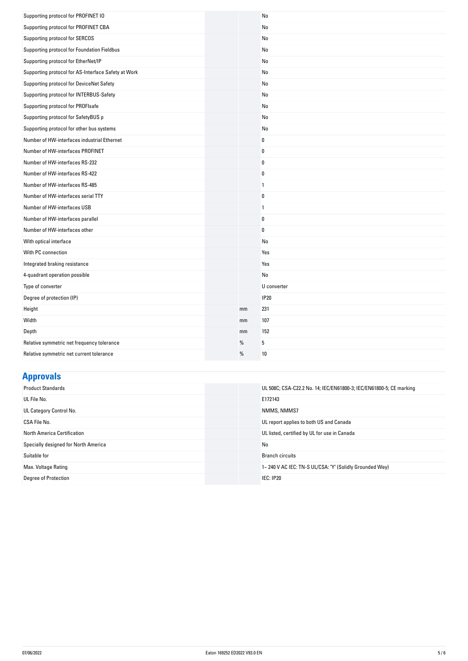| Supporting protocol for PROFINET IO                 |    | N <sub>0</sub> |
|-----------------------------------------------------|----|----------------|
| Supporting protocol for PROFINET CBA                |    | No             |
| Supporting protocol for SERCOS                      |    | No             |
| Supporting protocol for Foundation Fieldbus         |    | N <sub>0</sub> |
| Supporting protocol for EtherNet/IP                 |    | No             |
| Supporting protocol for AS-Interface Safety at Work |    | No             |
| Supporting protocol for DeviceNet Safety            |    | No             |
| Supporting protocol for INTERBUS-Safety             |    | No             |
| Supporting protocol for PROFIsafe                   |    | No             |
| Supporting protocol for SafetyBUS p                 |    | No             |
| Supporting protocol for other bus systems           |    | No             |
| Number of HW-interfaces industrial Ethernet         |    | $\bf{0}$       |
| Number of HW-interfaces PROFINET                    |    | 0              |
| Number of HW-interfaces RS-232                      |    | $\bf{0}$       |
| Number of HW-interfaces RS-422                      |    | $\bf{0}$       |
| Number of HW-interfaces RS-485                      |    | $\mathbf{1}$   |
| Number of HW-interfaces serial TTY                  |    | $\bf{0}$       |
| Number of HW-interfaces USB                         |    | $\mathbf{1}$   |
| Number of HW-interfaces parallel                    |    | $\bf{0}$       |
| Number of HW-interfaces other                       |    | $\bf{0}$       |
| With optical interface                              |    | No             |
| With PC connection                                  |    | Yes            |
| Integrated braking resistance                       |    | Yes            |
| 4-quadrant operation possible                       |    | No             |
| Type of converter                                   |    | U converter    |
| Degree of protection (IP)                           |    | <b>IP20</b>    |
| Height                                              | mm | 231            |
| Width                                               | mm | 107            |
| Depth                                               | mm | 152            |
| Relative symmetric net frequency tolerance          | %  | 5              |
| Relative symmetric net current tolerance            | %  | 10             |

# **Approvals**

| <b>Product Standards</b>             | UL 508C; CSA-C22.2 No. 14; IEC/EN61800-3; IEC/EN61800-5; CE marking |
|--------------------------------------|---------------------------------------------------------------------|
| UL File No.                          | E172143                                                             |
| UL Category Control No.              | NMMS, NMMS7                                                         |
| CSA File No.                         | UL report applies to both US and Canada                             |
| <b>North America Certification</b>   | UL listed, certified by UL for use in Canada                        |
| Specially designed for North America | No                                                                  |
| Suitable for                         | <b>Branch circuits</b>                                              |
| Max. Voltage Rating                  | 1~240 V AC IEC: TN-S UL/CSA: "Y" (Solidly Grounded Wey)             |
| <b>Degree of Protection</b>          | <b>IEC: IP20</b>                                                    |